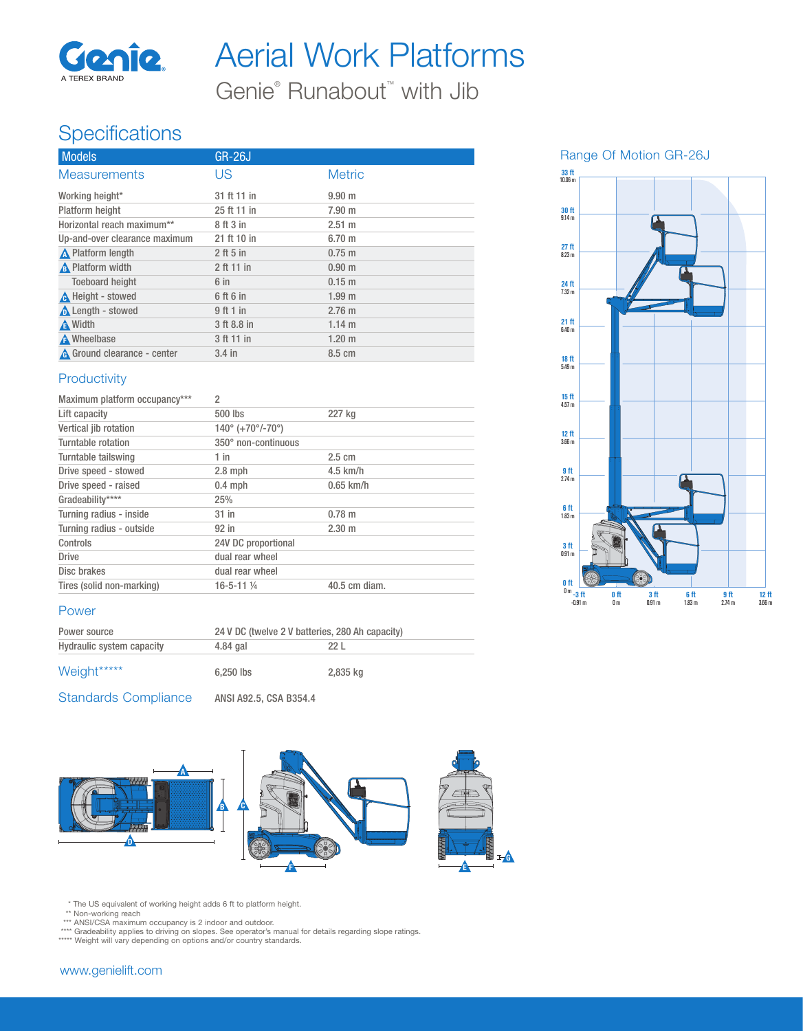

Aerial Work Platforms

Genie<sup>®</sup> Runabout<sup>™</sup> with Jib

### **Specifications**

| <b>Models</b>                      | <b>GR-26J</b> |                   |
|------------------------------------|---------------|-------------------|
| <b>Measurements</b>                | US            | <b>Metric</b>     |
| Working height*                    | 31 ft 11 in   | 9.90 <sub>m</sub> |
| Platform height                    | 25 ft 11 in   | 7.90 m            |
| Horizontal reach maximum**         | 8 ft 3 in     | $2.51 \text{ m}$  |
| Up-and-over clearance maximum      | 21 ft 10 in   | 6.70 <sub>m</sub> |
| <b>A</b> Platform length           | $2$ ft 5 in   | $0.75 \; m$       |
| <b>A</b> Platform width            | 2 ft 11 in    | 0.90 <sub>m</sub> |
| <b>Toeboard height</b>             | $6$ in        | $0.15 \; m$       |
| A Height - stowed                  | 6 ft 6 in     | 1.99 <sub>m</sub> |
| <b>A</b> Length - stowed           | 9 ft 1 in     | $2.76$ m          |
| A Width                            | 3 ft 8.8 in   | $1.14 \text{ m}$  |
| A Wheelbase                        | 3 ft 11 in    | $1.20$ m          |
| <b>A</b> Ground clearance - center | $3.4$ in      | 8.5 cm            |

### **Productivity**

| Maximum platform occupancy*** | $\mathfrak{p}$                                  |                  |
|-------------------------------|-------------------------------------------------|------------------|
| Lift capacity                 | 500 lbs                                         | 227 kg           |
| Vertical jib rotation         | $140^{\circ}$ (+70 $^{\circ}$ /-70 $^{\circ}$ ) |                  |
| Turntable rotation            | 350° non-continuous                             |                  |
| Turntable tailswing           | $1$ in                                          | $2.5 \text{ cm}$ |
| Drive speed - stowed          | $2.8$ mph                                       | $4.5$ km/h       |
| Drive speed - raised          | $0.4$ mph                                       | $0.65$ km/h      |
| Gradeability****              | 25%                                             |                  |
| Turning radius - inside       | $31$ in                                         | $0.78$ m         |
| Turning radius - outside      | 92 in                                           | $2.30 \text{ m}$ |
| Controls                      | 24V DC proportional                             |                  |
| <b>Drive</b>                  | dual rear wheel                                 |                  |
| Disc brakes                   | dual rear wheel                                 |                  |
| Tires (solid non-marking)     | $16 - 5 - 11$ %                                 | 40.5 cm diam.    |

#### Power

| Power source              | 24 V DC (twelve 2 V batteries, 280 Ah capacity) |          |
|---------------------------|-------------------------------------------------|----------|
| Hydraulic system capacity | 4.84 gal                                        | 22 L     |
| Weight*****               | $6.250$ lbs                                     | 2,835 kg |

Standards Compliance ANSI A92.5, CSA B354.4



\* The US equivalent of working height adds 6 ft to platform height.

\*\* Non-working reach<br>\*\*\* ANSI/CSA maximum occupancy is 2 indoor and outdoor.<br>\*\*\*\* Gradeability applies to driving on slopes. See operator's manual for details regarding slope ratings.

\*\*\*\*\* Weight will vary depending on options and/or country standards.